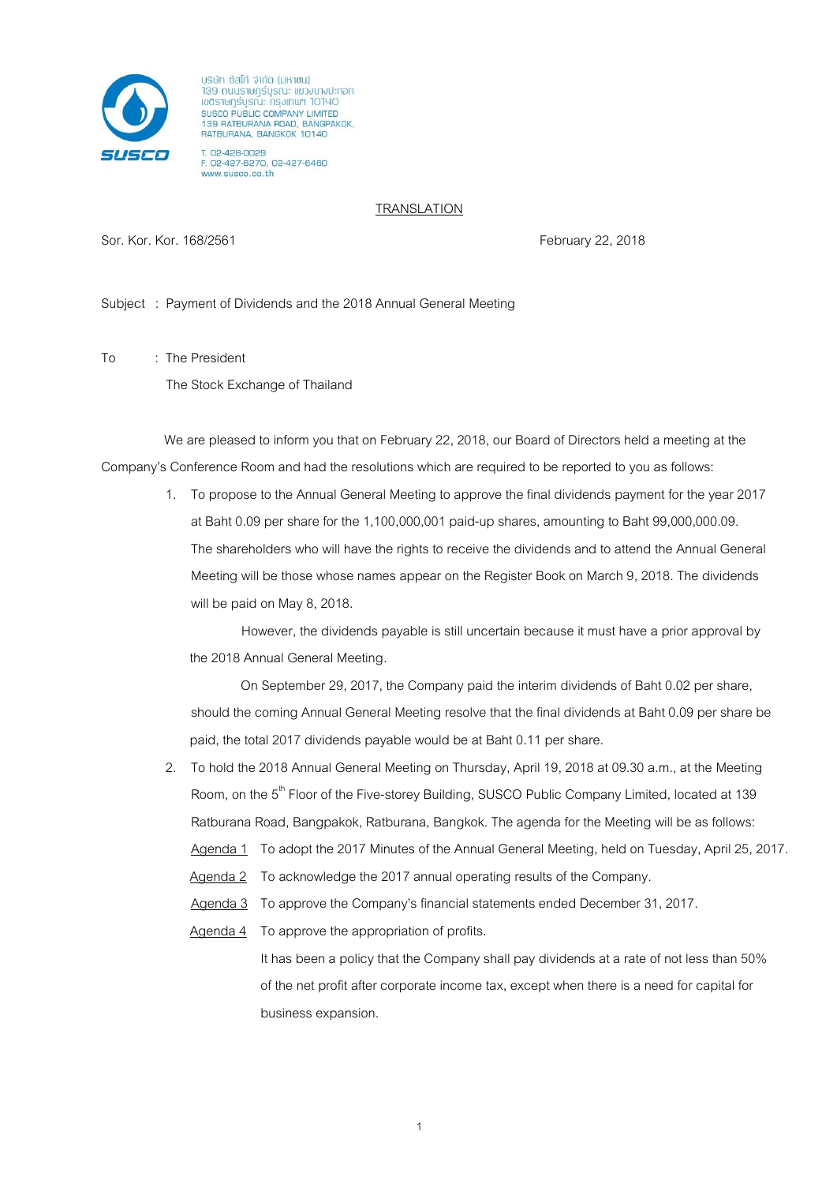

บริษัท ซัสโท้ จำกัด (มหาชน) าวอา กนนราษฎร์บูรณะ แขวงบางปะกอก เขตราษฎร์บูรณ์ะ ทรุงเทพฯ 10140 SUSCO PUBLIC COMPANY LIMITED<br>139 RATBURANA ROAD, BANGPAKOK,<br>RATBURANA, BANGKOK 10140

T. 02-428-0029<br>F. 02-427-6270, 02-427-6460 www.susco.co.th

## **TRANSLATION**

Sor. Kor. Kor. 168/2561 February 22, 2018

Subject : Payment of Dividends and the 2018 Annual General Meeting

To : The President

The Stock Exchange of Thailand

We are pleased to inform you that on February 22, 2018, our Board of Directors held a meeting at the Company's Conference Room and had the resolutions which are required to be reported to you as follows:

> 1. To propose to the Annual General Meeting to approve the final dividends payment for the year 2017 at Baht 0.09 per share for the 1,100,000,001 paid-up shares, amounting to Baht 99,000,000.09. The shareholders who will have the rights to receive the dividends and to attend the Annual General Meeting will be those whose names appear on the Register Book on March 9, 2018. The dividends will be paid on May 8, 2018.

However, the dividends payable is still uncertain because it must have a prior approval by the 2018 Annual General Meeting.

On September 29, 2017, the Company paid the interim dividends of Baht 0.02 per share, should the coming Annual General Meeting resolve that the final dividends at Baht 0.09 per share be paid, the total 2017 dividends payable would be at Baht 0.11 per share.

2. To hold the 2018 Annual General Meeting on Thursday, April 19, 2018 at 09.30 a.m., at the Meeting Room, on the 5<sup>th</sup> Floor of the Five-storey Building, SUSCO Public Company Limited, located at 139 Ratburana Road, Bangpakok, Ratburana, Bangkok. The agenda for the Meeting will be as follows:

Agenda 1 To adopt the 2017 Minutes of the Annual General Meeting, held on Tuesday, April 25, 2017.

- Agenda 2 To acknowledge the 2017 annual operating results of the Company.
- Agenda 3 To approve the Company's financial statements ended December 31, 2017.
- Agenda 4 To approve the appropriation of profits. It has been a policy that the Company shall pay dividends at a rate of not less than 50% of the net profit after corporate income tax, except when there is a need for capital for business expansion.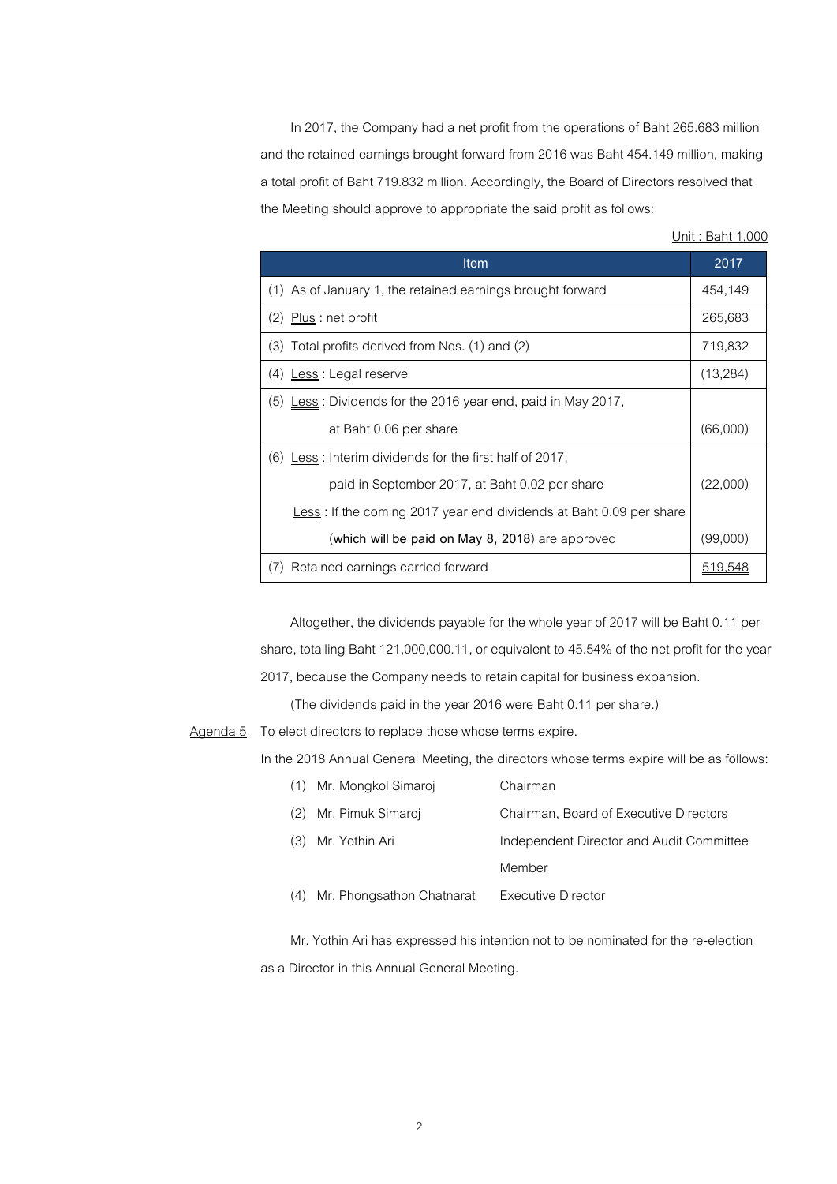In 2017, the Company had a net profit from the operations of Baht 265.683 million and the retained earnings brought forward from 2016 was Baht 454.149 million, making a total profit of Baht 719.832 million. Accordingly, the Board of Directors resolved that the Meeting should approve to appropriate the said profit as follows:

Unit : Baht 1,000

| Item                                                                       | 2017      |
|----------------------------------------------------------------------------|-----------|
| (1) As of January 1, the retained earnings brought forward                 |           |
| (2) Plus : net profit                                                      | 265,683   |
| (3) Total profits derived from Nos. (1) and (2)                            | 719,832   |
| (4) <u>Less</u> : Legal reserve                                            | (13, 284) |
| $(5)$ Less: Dividends for the 2016 year end, paid in May 2017,             |           |
| at Baht 0.06 per share                                                     | (66,000)  |
| $(6)$ Less: Interim dividends for the first half of 2017,                  |           |
| paid in September 2017, at Baht 0.02 per share                             | (22,000)  |
| <u>Less</u> : If the coming 2017 year end dividends at Baht 0.09 per share |           |
| (which will be paid on May 8, 2018) are approved                           | (99,000)  |
| Retained earnings carried forward<br>$($ ( $\prime$ )                      |           |

Altogether, the dividends payable for the whole year of 2017 will be Baht 0.11 per share, totalling Baht 121,000,000.11, or equivalent to 45.54% of the net profit for the year 2017, because the Company needs to retain capital for business expansion.

(The dividends paid in the year 2016 were Baht 0.11 per share.)

Agenda 5 To elect directors to replace those whose terms expire.

In the 2018 Annual General Meeting, the directors whose terms expire will be as follows:

| Mr. Mongkol Simaroj<br>(1)       | Chairman                                 |
|----------------------------------|------------------------------------------|
| Mr. Pimuk Simaroj                | Chairman, Board of Executive Directors   |
| Mr. Yothin Ari                   | Independent Director and Audit Committee |
|                                  | Member                                   |
| Mr. Phongsathon Chatnarat<br>(4) | <b>Executive Director</b>                |

Mr. Yothin Ari has expressed his intention not to be nominated for the re-election as a Director in this Annual General Meeting.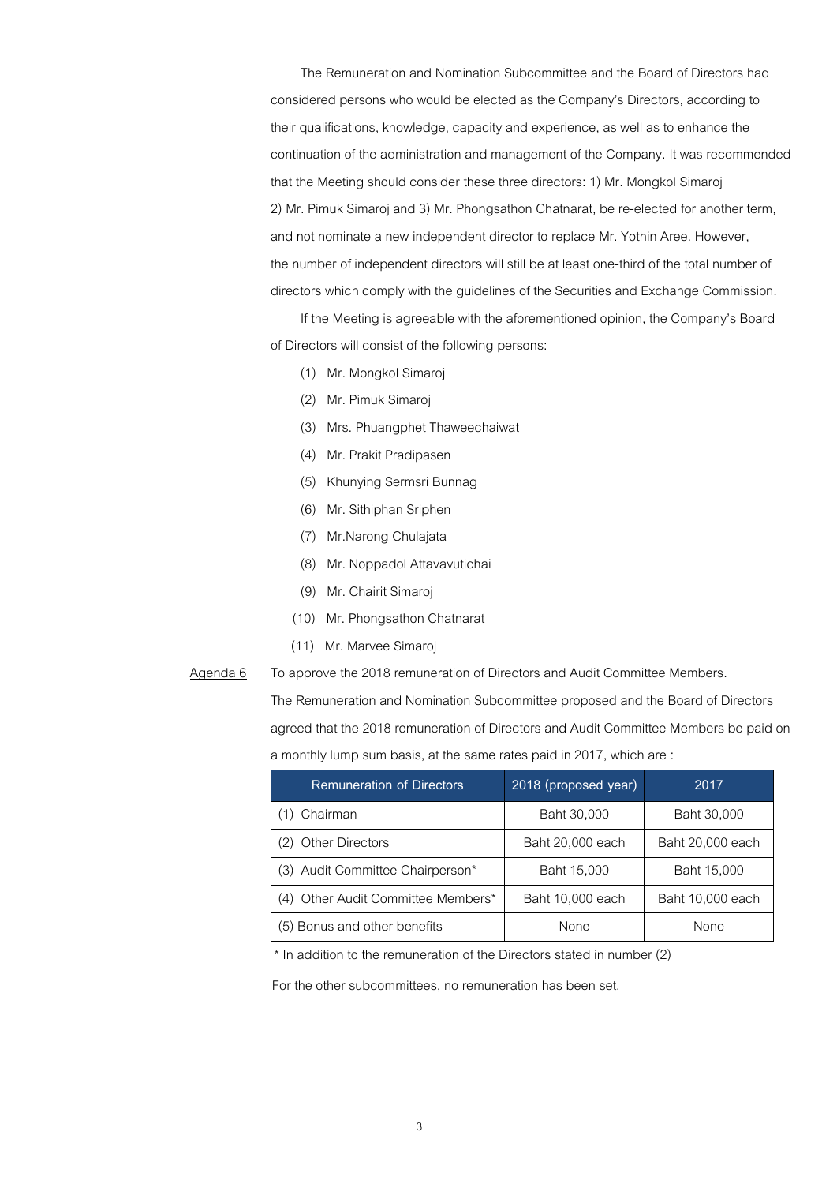The Remuneration and Nomination Subcommittee and the Board of Directors had considered persons who would be elected as the Company's Directors, according to their qualifications, knowledge, capacity and experience, as well as to enhance the continuation of the administration and management of the Company. It was recommended that the Meeting should consider these three directors: 1) Mr. Mongkol Simaroj 2) Mr. Pimuk Simarojand 3) Mr. Phongsathon Chatnarat, be re-elected for another term, and not nominate a new independent director to replace Mr. Yothin Aree. However, the number of independent directors will still be at least one-third of the total number of directors which comply with the guidelines of the Securities and Exchange Commission.

If the Meeting is agreeable with the aforementioned opinion, the Company's Board of Directors will consist of the following persons:

- (1) Mr. Mongkol Simaroj
- (2) Mr. Pimuk Simaroj
- (3) Mrs. Phuangphet Thaweechaiwat
- (4) Mr. Prakit Pradipasen
- (5) Khunying Sermsri Bunnag
- (6) Mr. Sithiphan Sriphen
- (7) Mr.Narong Chulajata
- (8) Mr. Noppadol Attavavutichai
- (9) Mr. Chairit Simaroj
- (10) Mr. Phongsathon Chatnarat
- (11) Mr. Marvee Simaroj
- Agenda 6 To approve the 2018 remuneration of Directors and Audit Committee Members.

The Remuneration and Nomination Subcommittee proposed and the Board of Directors agreed that the 2018 remuneration of Directors and Audit Committee Members be paid on a monthly lump sum basis, at the same rates paid in 2017, which are :

| <b>Remuneration of Directors</b>   | 2018 (proposed year) | 2017             |
|------------------------------------|----------------------|------------------|
| Chairman                           | Baht 30,000          | Baht 30,000      |
| (2) Other Directors                | Baht 20,000 each     | Baht 20,000 each |
| (3) Audit Committee Chairperson*   | Baht 15,000          | Baht 15,000      |
| (4) Other Audit Committee Members* | Baht 10,000 each     | Baht 10,000 each |
| (5) Bonus and other benefits       | None                 | <b>None</b>      |

\* In addition to the remuneration of the Directors stated in number (2)

For the other subcommittees, no remuneration has been set.